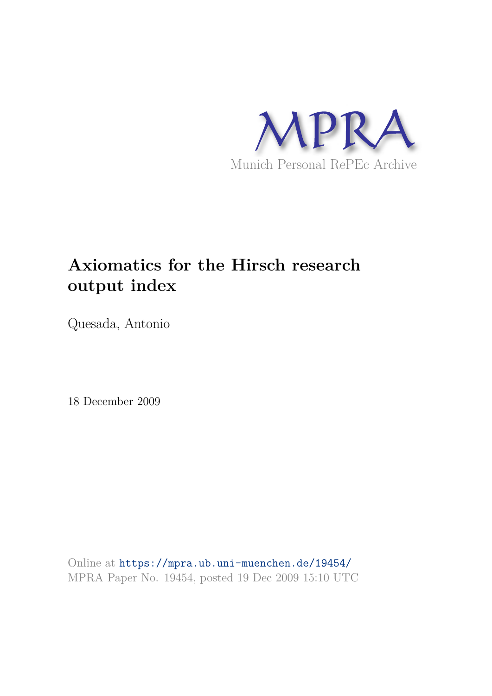

# **Axiomatics for the Hirsch research output index**

Quesada, Antonio

18 December 2009

Online at https://mpra.ub.uni-muenchen.de/19454/ MPRA Paper No. 19454, posted 19 Dec 2009 15:10 UTC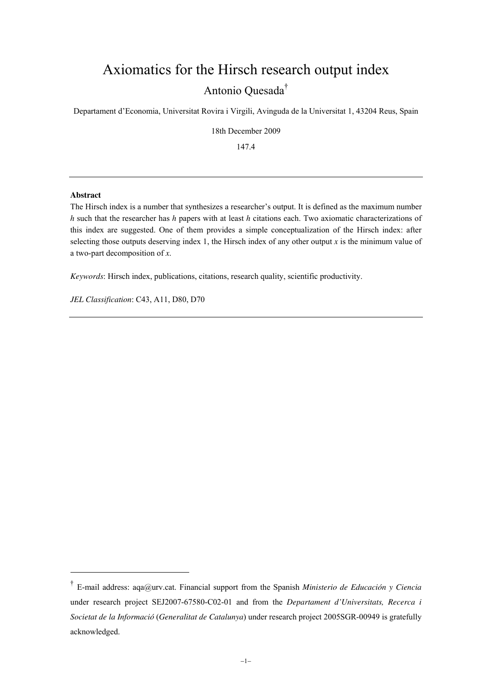# Axiomatics for the Hirsch research output index Antonio Quesada†

Departament d'Economia, Universitat Rovira i Virgili, Avinguda de la Universitat 1, 43204 Reus, Spain

18th December 2009

147.4

#### **Abstract**

<u>.</u>

The Hirsch index is a number that synthesizes a researcher's output. It is defined as the maximum number *h* such that the researcher has *h* papers with at least *h* citations each. Two axiomatic characterizations of this index are suggested. One of them provides a simple conceptualization of the Hirsch index: after selecting those outputs deserving index 1, the Hirsch index of any other output *x* is the minimum value of a two-part decomposition of *x*.

*Keywords*: Hirsch index, publications, citations, research quality, scientific productivity.

*JEL Classification*: C43, A11, D80, D70

<sup>†</sup> E-mail address: aqa@urv.cat. Financial support from the Spanish *Ministerio de Educación y Ciencia* under research project SEJ2007-67580-C02-01 and from the *Departament d'Universitats, Recerca i Societat de la Informació* (*Generalitat de Catalunya*) under research project 2005SGR-00949 is gratefully acknowledged.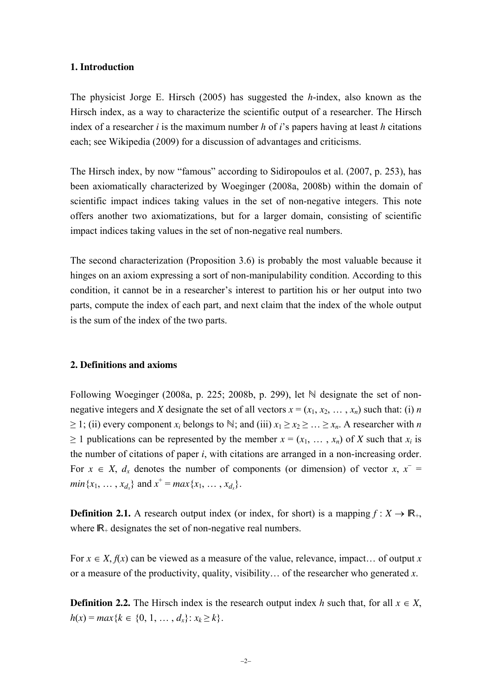## **1. Introduction**

The physicist Jorge E. Hirsch (2005) has suggested the *h*-index, also known as the Hirsch index, as a way to characterize the scientific output of a researcher. The Hirsch index of a researcher *i* is the maximum number *h* of *i*'s papers having at least *h* citations each; see Wikipedia (2009) for a discussion of advantages and criticisms.

The Hirsch index, by now "famous" according to Sidiropoulos et al. (2007, p. 253), has been axiomatically characterized by Woeginger (2008a, 2008b) within the domain of scientific impact indices taking values in the set of non-negative integers. This note offers another two axiomatizations, but for a larger domain, consisting of scientific impact indices taking values in the set of non-negative real numbers.

The second characterization (Proposition 3.6) is probably the most valuable because it hinges on an axiom expressing a sort of non-manipulability condition. According to this condition, it cannot be in a researcher's interest to partition his or her output into two parts, compute the index of each part, and next claim that the index of the whole output is the sum of the index of the two parts.

#### **2. Definitions and axioms**

Following Woeginger (2008a, p. 225; 2008b, p. 299), let  $\mathbb N$  designate the set of nonnegative integers and *X* designate the set of all vectors  $x = (x_1, x_2, \ldots, x_n)$  such that: (i) *n*  $\geq$  1; (ii) every component  $x_i$  belongs to  $\mathbb{N}$ ; and (iii)  $x_1 \geq x_2 \geq ... \geq x_n$ . A researcher with *n*  $> 1$  publications can be represented by the member  $x = (x_1, \ldots, x_n)$  of X such that  $x_i$  is the number of citations of paper *i*, with citations are arranged in a non-increasing order. For  $x \in X$ ,  $d_x$  denotes the number of components (or dimension) of vector  $x, x^$ *min*{*x*<sub>1</sub>, …, *x*<sub>*d*<sub>*x*</sub></sub>} and *x*<sup>+</sup> = *max*{*x*<sub>1</sub>, …, *x*<sub>*d*<sub>*x*</sub>}.</sub>

**Definition 2.1.** A research output index (or index, for short) is a mapping  $f: X \to \mathbb{R}_+$ , where  $\mathbb{R}_+$  designates the set of non-negative real numbers.

For  $x \in X$ ,  $f(x)$  can be viewed as a measure of the value, relevance, impact... of output x or a measure of the productivity, quality, visibility… of the researcher who generated *x*.

**Definition 2.2.** The Hirsch index is the research output index *h* such that, for all  $x \in X$ ,  $h(x) = max\{k \in \{0, 1, ..., d_x\}: x_k \geq k\}.$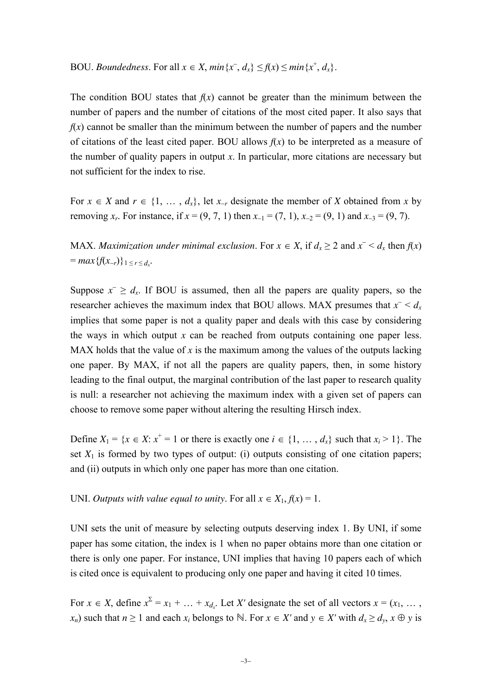BOU. *Boundedness*. For all  $x \in X$ ,  $min\{x^-, d_x\} \le f(x) \le min\{x^+, d_x\}$ .

The condition BOU states that  $f(x)$  cannot be greater than the minimum between the number of papers and the number of citations of the most cited paper. It also says that  $f(x)$  cannot be smaller than the minimum between the number of papers and the number of citations of the least cited paper. BOU allows  $f(x)$  to be interpreted as a measure of the number of quality papers in output  $x$ . In particular, more citations are necessary but not sufficient for the index to rise.

For  $x \in X$  and  $r \in \{1, \ldots, d_x\}$ , let  $x_{-r}$  designate the member of *X* obtained from *x* by removing *x<sub>r</sub>*. For instance, if  $x = (9, 7, 1)$  then  $x_{-1} = (7, 1), x_{-2} = (9, 1)$  and  $x_{-3} = (9, 7)$ .

MAX. *Maximization under minimal exclusion*. For  $x \in X$ , if  $d_x \ge 2$  and  $x^{-} < d_x$  then  $f(x)$  $= max{f(x_{-r})} \}_{1 \leq r \leq d_x}.$ 

Suppose  $x^- \geq d_x$ . If BOU is assumed, then all the papers are quality papers, so the researcher achieves the maximum index that BOU allows. MAX presumes that  $x^ < d_x$ implies that some paper is not a quality paper and deals with this case by considering the ways in which output  $x$  can be reached from outputs containing one paper less. MAX holds that the value of x is the maximum among the values of the outputs lacking one paper. By MAX, if not all the papers are quality papers, then, in some history leading to the final output, the marginal contribution of the last paper to research quality is null: a researcher not achieving the maximum index with a given set of papers can choose to remove some paper without altering the resulting Hirsch index.

Define  $X_1 = \{x \in X : x^+ = 1 \text{ or there is exactly one } i \in \{1, ..., d_x\} \text{ such that } x_i > 1\}$ . The set  $X_1$  is formed by two types of output: (i) outputs consisting of one citation papers; and (ii) outputs in which only one paper has more than one citation.

UNI. *Outputs with value equal to unity*. For all  $x \in X_1, f(x) = 1$ .

UNI sets the unit of measure by selecting outputs deserving index 1. By UNI, if some paper has some citation, the index is 1 when no paper obtains more than one citation or there is only one paper. For instance, UNI implies that having 10 papers each of which is cited once is equivalent to producing only one paper and having it cited 10 times.

For  $x \in X$ , define  $x^{\Sigma} = x_1 + \dots + x_{d_x}$ . Let *X'* designate the set of all vectors  $x = (x_1, \dots, x_d)$ *x<sub>n</sub>*) such that  $n \ge 1$  and each  $x_i$  belongs to ℕ. For  $x \in X'$  and  $y \in X'$  with  $d_x \ge d_y$ ,  $x \oplus y$  is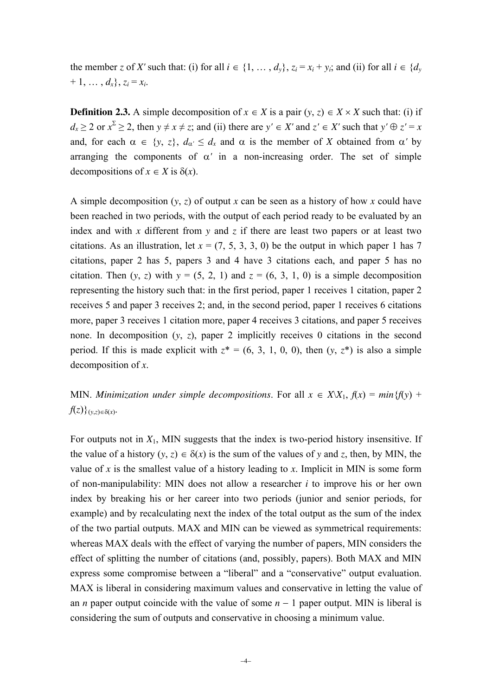the member *z* of *X'* such that: (i) for all  $i \in \{1, ..., d_v\}$ ,  $z_i = x_i + y_i$ ; and (ii) for all  $i \in \{d_v\}$  $+ 1, \ldots, d_x$ ,  $z_i = x_i$ .

**Definition 2.3.** A simple decomposition of  $x \in X$  is a pair  $(y, z) \in X \times X$  such that: (i) if  $d_x \ge 2$  or  $x^2 \ge 2$ , then  $y \ne x \ne z$ ; and (ii) there are  $y' \in X'$  and  $z' \in X'$  such that  $y' \oplus z' = x$ and, for each  $\alpha \in \{y, z\}$ ,  $d_{\alpha'} \leq d_x$  and  $\alpha$  is the member of *X* obtained from  $\alpha'$  by arranging the components of  $\alpha'$  in a non-increasing order. The set of simple decompositions of  $x \in X$  is  $\delta(x)$ .

A simple decomposition (*y*, *z*) of output *x* can be seen as a history of how *x* could have been reached in two periods, with the output of each period ready to be evaluated by an index and with *x* different from *y* and *z* if there are least two papers or at least two citations. As an illustration, let  $x = (7, 5, 3, 3, 0)$  be the output in which paper 1 has 7 citations, paper 2 has 5, papers 3 and 4 have 3 citations each, and paper 5 has no citation. Then  $(y, z)$  with  $y = (5, 2, 1)$  and  $z = (6, 3, 1, 0)$  is a simple decomposition representing the history such that: in the first period, paper 1 receives 1 citation, paper 2 receives 5 and paper 3 receives 2; and, in the second period, paper 1 receives 6 citations more, paper 3 receives 1 citation more, paper 4 receives 3 citations, and paper 5 receives none. In decomposition (*y*, *z*), paper 2 implicitly receives 0 citations in the second period. If this is made explicit with  $z^* = (6, 3, 1, 0, 0)$ , then  $(y, z^*)$  is also a simple decomposition of *x*.

MIN. *Minimization under simple decompositions*. For all  $x \in X \setminus X_1$ ,  $f(x) = min{f(y)} +$  $f(z)$ <sub> $(y,z) \in \delta(x)$ </sub>.

For outputs not in  $X_1$ , MIN suggests that the index is two-period history insensitive. If the value of a history  $(y, z) \in \delta(x)$  is the sum of the values of y and z, then, by MIN, the value of  $x$  is the smallest value of a history leading to  $x$ . Implicit in MIN is some form of non-manipulability: MIN does not allow a researcher *i* to improve his or her own index by breaking his or her career into two periods (junior and senior periods, for example) and by recalculating next the index of the total output as the sum of the index of the two partial outputs. MAX and MIN can be viewed as symmetrical requirements: whereas MAX deals with the effect of varying the number of papers, MIN considers the effect of splitting the number of citations (and, possibly, papers). Both MAX and MIN express some compromise between a "liberal" and a "conservative" output evaluation. MAX is liberal in considering maximum values and conservative in letting the value of an *n* paper output coincide with the value of some  $n - 1$  paper output. MIN is liberal is considering the sum of outputs and conservative in choosing a minimum value.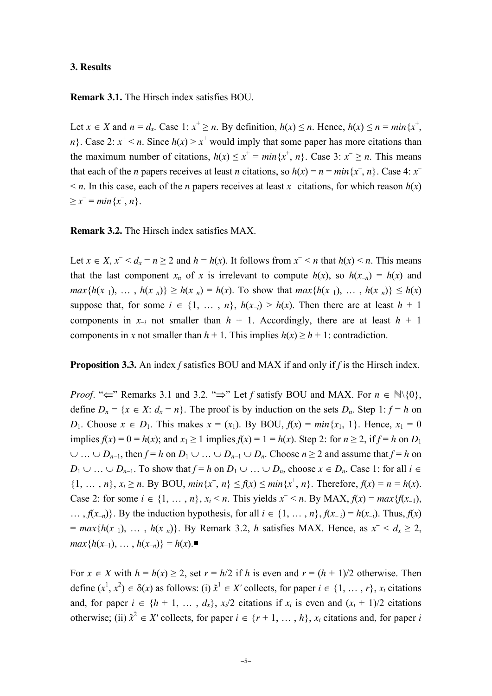#### **3. Results**

# **Remark 3.1.** The Hirsch index satisfies BOU.

Let  $x \in X$  and  $n = d_x$ . Case 1:  $x^+ \ge n$ . By definition,  $h(x) \le n$ . Hence,  $h(x) \le n = min\{x^+,$ *n*}. Case 2:  $x^+$  < *n*. Since  $h(x)$  >  $x^+$  would imply that some paper has more citations than the maximum number of citations,  $h(x) \le x^+ = \min\{x^+, n\}$ . Case 3:  $x^- \ge n$ . This means that each of the *n* papers receives at least *n* citations, so  $h(x) = n = min\{x^-, n\}$ . Case 4:  $x^ \leq n$ . In this case, each of the *n* papers receives at least *x*<sup> $\overline{ }$ </sup> citations, for which reason *h*(*x*)  $\geq x^- = min\{x^-, n\}.$ 

**Remark 3.2.** The Hirsch index satisfies MAX.

Let  $x \in X$ ,  $x^{-} < d_x = n \ge 2$  and  $h = h(x)$ . It follows from  $x^{-} < n$  that  $h(x) < n$ . This means that the last component  $x_n$  of  $x$  is irrelevant to compute  $h(x)$ , so  $h(x_n) = h(x)$  and *max*{ $h(x_1)$ , …,  $h(x_n)$ } ≥  $h(x_n) = h(x)$ . To show that  $max\{h(x_1)$ , …,  $h(x_n)$ } ≤  $h(x)$ suppose that, for some  $i \in \{1, ..., n\}$ ,  $h(x_{-i}) > h(x)$ . Then there are at least  $h + 1$ components in  $x_{-i}$  not smaller than  $h + 1$ . Accordingly, there are at least  $h + 1$ components in *x* not smaller than  $h + 1$ . This implies  $h(x) \ge h + 1$ : contradiction.

**Proposition 3.3.** An index *f* satisfies BOU and MAX if and only if *f* is the Hirsch index.

*Proof.* " $\Leftarrow$ " Remarks 3.1 and 3.2. " $\Rightarrow$ " Let *f* satisfy BOU and MAX. For  $n \in \mathbb{N}\setminus\{0\}$ , define  $D_n = \{x \in X : d_x = n\}$ . The proof is by induction on the sets  $D_n$ . Step 1:  $f = h$  on *D*<sub>1</sub>. Choose  $x \in D_1$ . This makes  $x = (x_1)$ . By BOU,  $f(x) = min\{x_1, 1\}$ . Hence,  $x_1 = 0$ implies  $f(x) = 0 = h(x)$ ; and  $x_1 > 1$  implies  $f(x) = 1 = h(x)$ . Step 2: for  $n > 2$ , if  $f = h$  on  $D_1$ ∪ … ∪ *D<sub>n-1</sub>*, then  $f = h$  on  $D_1 \cup ... \cup D_{n-1} \cup D_n$ . Choose  $n \ge 2$  and assume that  $f = h$  on *D*<sub>1</sub> ∪ … ∪ *D*<sub>*n*−1</sub>. To show that  $f = h$  on  $D_1$  ∪ … ∪  $D_n$ , choose  $x \in D_n$ . Case 1: for all  $i \in$ {1, ..., *n*},  $x_i \ge n$ . By BOU,  $min\{x^-, n\} \le f(x) \le min\{x^+, n\}$ . Therefore,  $f(x) = n = h(x)$ . Case 2: for some  $i \in \{1, \ldots, n\}$ ,  $x_i < n$ . This yields  $x^- < n$ . By MAX,  $f(x) = max\{f(x_{-1}),$ …,  $f(x<sub>-n</sub>)$ }. By the induction hypothesis, for all  $i \in \{1, ..., n\}$ ,  $f(x<sub>-i</sub>) = h(x<sub>-i</sub>)$ . Thus,  $f(x)$  $= max{h(x_{-1}), ..., h(x_{-n})}.$  By Remark 3.2, *h* satisfies MAX. Hence, as  $x^{-} < d_x \ge 2$ , *max*{ $h(x_{-1}), \ldots, h(x_{-n})$ } =  $h(x)$ .■

For  $x \in X$  with  $h = h(x) \ge 2$ , set  $r = h/2$  if h is even and  $r = (h + 1)/2$  otherwise. Then define  $(x^1, x^2) \in \delta(x)$  as follows: (i)  $\tilde{x}^1 \in X'$  collects, for paper  $i \in \{1, ..., r\}$ ,  $x_i$  citations and, for paper  $i \in \{h + 1, \ldots, d_x\}$ ,  $x_i/2$  citations if  $x_i$  is even and  $(x_i + 1)/2$  citations otherwise; (ii)  $\tilde{x}^2 \in X'$  collects, for paper  $i \in \{r+1, \ldots, h\}$ ,  $x_i$  citations and, for paper *i*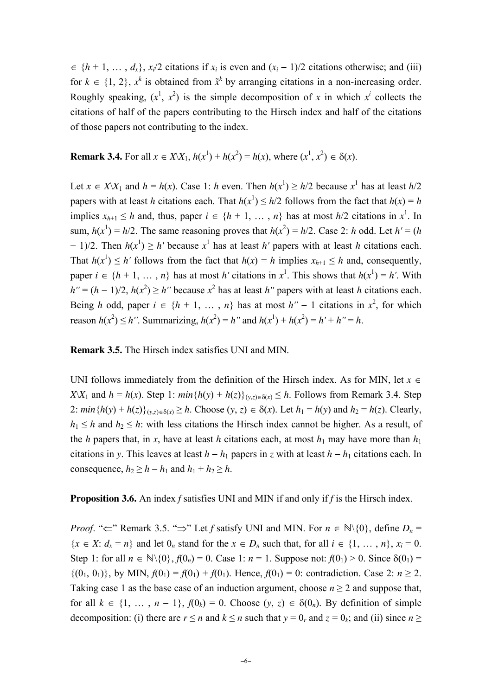$\in \{h+1, \ldots, d_x\}, x_i/2$  citations if  $x_i$  is even and  $(x_i - 1)/2$  citations otherwise; and (iii) for  $k \in \{1, 2\}$ ,  $x^k$  is obtained from  $\tilde{x}^k$  by arranging citations in a non-increasing order. Roughly speaking,  $(x^1, x^2)$  is the simple decomposition of *x* in which  $x^i$  collects the citations of half of the papers contributing to the Hirsch index and half of the citations of those papers not contributing to the index.

**Remark 3.4.** For all  $x \in X \setminus X_1$ ,  $h(x^1) + h(x^2) = h(x)$ , where  $(x^1, x^2) \in \delta(x)$ .

Let  $x \in X \setminus X_1$  and  $h = h(x)$ . Case 1: *h* even. Then  $h(x^1) \ge h/2$  because  $x^1$  has at least  $h/2$ papers with at least *h* citations each. That  $h(x^1) \le h/2$  follows from the fact that  $h(x) = h$ implies  $x_{h+1} \leq h$  and, thus, paper  $i \in \{h+1, \ldots, n\}$  has at most  $h/2$  citations in  $x^1$ . In sum,  $h(x^1) = h/2$ . The same reasoning proves that  $h(x^2) = h/2$ . Case 2: *h* odd. Let  $h' = (h)$ + 1)/2. Then  $h(x^1) \ge h'$  because  $x^1$  has at least *h'* papers with at least *h* citations each. That  $h(x^1) \le h'$  follows from the fact that  $h(x) = h$  implies  $x_{h+1} \le h$  and, consequently, paper  $i \in \{h + 1, \ldots, n\}$  has at most *h'* citations in  $x^1$ . This shows that  $h(x^1) = h'$ . With  $h'' = (h - 1)/2$ ,  $h(x^2) \ge h''$  because  $x^2$  has at least *h''* papers with at least *h* citations each. Being *h* odd, paper  $i \in \{h + 1, ..., n\}$  has at most  $h'' - 1$  citations in  $x^2$ , for which reason  $h(x^2) \le h''$ . Summarizing,  $h(x^2) = h''$  and  $h(x^1) + h(x^2) = h' + h'' = h$ .

**Remark 3.5.** The Hirsch index satisfies UNI and MIN.

UNI follows immediately from the definition of the Hirsch index. As for MIN, let  $x \in$ *X* $\{X|X_1\}$  and *h* = *h*(*x*). Step 1: *min*{*h*(*y*) + *h*(*z*)}(*y*,*z*)∈δ(*x*) ≤ *h*. Follows from Remark 3.4. Step 2:  $min\{h(y) + h(z)\}_{(y,z) \in \delta(x)} \ge h$ . Choose  $(y, z) \in \delta(x)$ . Let  $h_1 = h(y)$  and  $h_2 = h(z)$ . Clearly,  $h_1 \leq h$  and  $h_2 \leq h$ : with less citations the Hirsch index cannot be higher. As a result, of the *h* papers that, in *x*, have at least *h* citations each, at most  $h_1$  may have more than  $h_1$ citations in *y*. This leaves at least  $h - h_1$  papers in *z* with at least  $h - h_1$  citations each. In consequence,  $h_2 \geq h - h_1$  and  $h_1 + h_2 \geq h$ .

**Proposition 3.6.** An index *f* satisfies UNI and MIN if and only if *f* is the Hirsch index.

*Proof.* " $\Leftarrow$ " Remark 3.5. " $\Rightarrow$ " Let *f* satisfy UNI and MIN. For  $n \in \mathbb{N}\setminus\{0\}$ , define  $D_n =$  $\{x \in X: d_x = n\}$  and let  $0_n$  stand for the  $x \in D_n$  such that, for all  $i \in \{1, ..., n\}$ ,  $x_i = 0$ . Step 1: for all  $n \in \mathbb{N} \setminus \{0\}$ ,  $f(0_n) = 0$ . Case 1:  $n = 1$ . Suppose not:  $f(0_1) > 0$ . Since  $\delta(0_1) =$  ${(0_1, 0_1)}$ , by MIN,  $f(0_1) = f(0_1) + f(0_1)$ . Hence,  $f(0_1) = 0$ : contradiction. Case 2:  $n \ge 2$ . Taking case 1 as the base case of an induction argument, choose  $n \geq 2$  and suppose that, for all  $k \in \{1, ..., n-1\}$ ,  $f(0_k) = 0$ . Choose  $(y, z) \in \delta(0_n)$ . By definition of simple decomposition: (i) there are  $r \le n$  and  $k \le n$  such that  $y = 0_r$  and  $z = 0_k$ ; and (ii) since  $n \ge$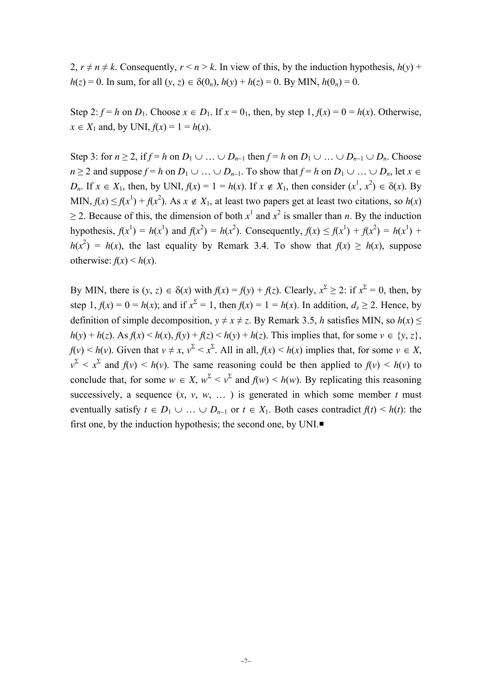2,  $r \neq n \neq k$ . Consequently,  $r \leq n \geq k$ . In view of this, by the induction hypothesis,  $h(y)$  + *h*(*z*) = 0. In sum, for all (*y*, *z*)  $\in \delta(0_n)$ ,  $h(y) + h(z) = 0$ . By MIN,  $h(0_n) = 0$ .

Step 2:  $f = h$  on  $D_1$ . Choose  $x \in D_1$ . If  $x = 0_1$ , then, by step 1,  $f(x) = 0 = h(x)$ . Otherwise, *x* ∈ *X*<sub>1</sub> and, by UNI,  $f(x) = 1 = h(x)$ .

Step 3: for  $n \ge 2$ , if  $f = h$  on  $D_1 \cup ... \cup D_{n-1}$  then  $f = h$  on  $D_1 \cup ... \cup D_{n-1} \cup D_n$ . Choose *n* ≥ 2 and suppose  $f = h$  on  $D_1 \cup ... \cup D_{n-1}$ . To show that  $f = h$  on  $D_1 \cup ... \cup D_n$ , let  $x \in$ *D<sub>n</sub>*. If  $x \in X_1$ , then, by UNI,  $f(x) = 1 = h(x)$ . If  $x \notin X_1$ , then consider  $(x^1, x^2) \in \delta(x)$ . By MIN,  $f(x) \le f(x^1) + f(x^2)$ . As  $x \notin X_1$ , at least two papers get at least two citations, so  $h(x)$  $\geq$  2. Because of this, the dimension of both  $x^1$  and  $x^2$  is smaller than *n*. By the induction hypothesis,  $f(x^1) = h(x^1)$  and  $f(x^2) = h(x^2)$ . Consequently,  $f(x) \le f(x^1) + f(x^2) = h(x^1) + f(x^2)$  $h(x^2) = h(x)$ , the last equality by Remark 3.4. To show that  $f(x) \ge h(x)$ , suppose otherwise:  $f(x) \leq h(x)$ .

By MIN, there is  $(y, z) \in \delta(x)$  with  $f(x) = f(y) + f(z)$ . Clearly,  $x^2 \ge 2$ : if  $x^2 = 0$ , then, by step 1,  $f(x) = 0 = h(x)$ ; and if  $x^2 = 1$ , then  $f(x) = 1 = h(x)$ . In addition,  $d_x \ge 2$ . Hence, by definition of simple decomposition,  $y \neq x \neq z$ . By Remark 3.5, *h* satisfies MIN, so  $h(x) \leq$  $h(y) + h(z)$ . As  $f(x) \leq h(x)$ ,  $f(y) + f(z) \leq h(y) + h(z)$ . This implies that, for some  $v \in \{y, z\}$ ,  $f(v) \le h(v)$ . Given that  $v \ne x$ ,  $v^2 \le x^2$ . All in all,  $f(x) \le h(x)$  implies that, for some  $v \in X$ ,  $v^{\Sigma} < x^{\Sigma}$  and  $f(v) < h(v)$ . The same reasoning could be then applied to  $f(v) < h(v)$  to conclude that, for some  $w \in X$ ,  $w^{\Sigma} < v^{\Sigma}$  and  $f(w) < h(w)$ . By replicating this reasoning successively, a sequence  $(x, y, w, ...)$  is generated in which some member *t* must eventually satisfy  $t \in D_1 \cup ... \cup D_{n-1}$  or  $t \in X_1$ . Both cases contradict  $f(t) \leq h(t)$ : the first one, by the induction hypothesis; the second one, by UNI.